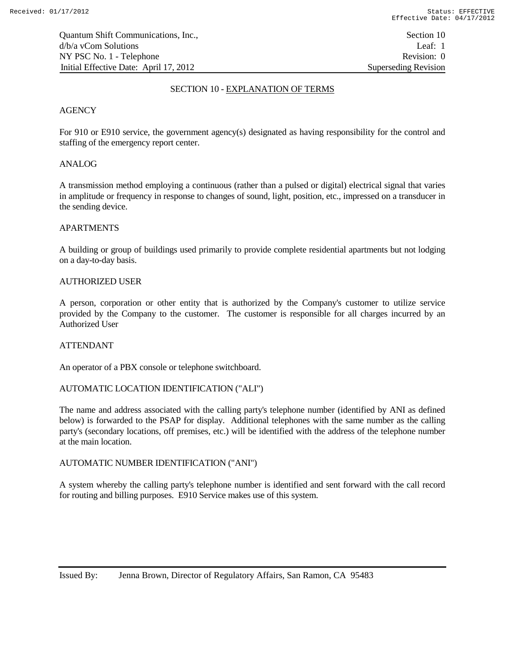# SECTION 10 - EXPLANATION OF TERMS

# **AGENCY**

For 910 or E910 service, the government agency(s) designated as having responsibility for the control and staffing of the emergency report center.

# ANALOG

A transmission method employing a continuous (rather than a pulsed or digital) electrical signal that varies in amplitude or frequency in response to changes of sound, light, position, etc., impressed on a transducer in the sending device.

# APARTMENTS

A building or group of buildings used primarily to provide complete residential apartments but not lodging on a day-to-day basis.

## AUTHORIZED USER

A person, corporation or other entity that is authorized by the Company's customer to utilize service provided by the Company to the customer. The customer is responsible for all charges incurred by an Authorized User

## ATTENDANT

An operator of a PBX console or telephone switchboard.

# AUTOMATIC LOCATION IDENTIFICATION ("ALI")

The name and address associated with the calling party's telephone number (identified by ANI as defined below) is forwarded to the PSAP for display. Additional telephones with the same number as the calling party's (secondary locations, off premises, etc.) will be identified with the address of the telephone number at the main location.

## AUTOMATIC NUMBER IDENTIFICATION ("ANI")

A system whereby the calling party's telephone number is identified and sent forward with the call record for routing and billing purposes. E910 Service makes use of this system.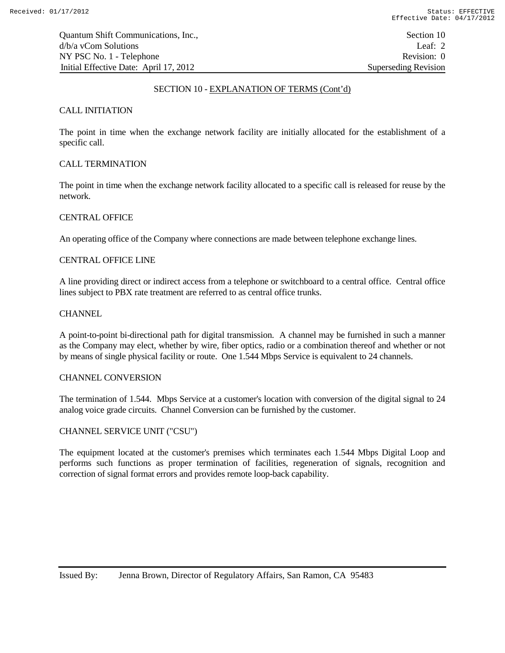## SECTION 10 - EXPLANATION OF TERMS (Cont'd)

# CALL INITIATION

The point in time when the exchange network facility are initially allocated for the establishment of a specific call.

# CALL TERMINATION

The point in time when the exchange network facility allocated to a specific call is released for reuse by the network.

# CENTRAL OFFICE

An operating office of the Company where connections are made between telephone exchange lines.

## CENTRAL OFFICE LINE

A line providing direct or indirect access from a telephone or switchboard to a central office. Central office lines subject to PBX rate treatment are referred to as central office trunks.

## **CHANNEL**

A point-to-point bi-directional path for digital transmission. A channel may be furnished in such a manner as the Company may elect, whether by wire, fiber optics, radio or a combination thereof and whether or not by means of single physical facility or route. One 1.544 Mbps Service is equivalent to 24 channels.

### CHANNEL CONVERSION

The termination of 1.544. Mbps Service at a customer's location with conversion of the digital signal to 24 analog voice grade circuits. Channel Conversion can be furnished by the customer.

# CHANNEL SERVICE UNIT ("CSU")

The equipment located at the customer's premises which terminates each 1.544 Mbps Digital Loop and performs such functions as proper termination of facilities, regeneration of signals, recognition and correction of signal format errors and provides remote loop-back capability.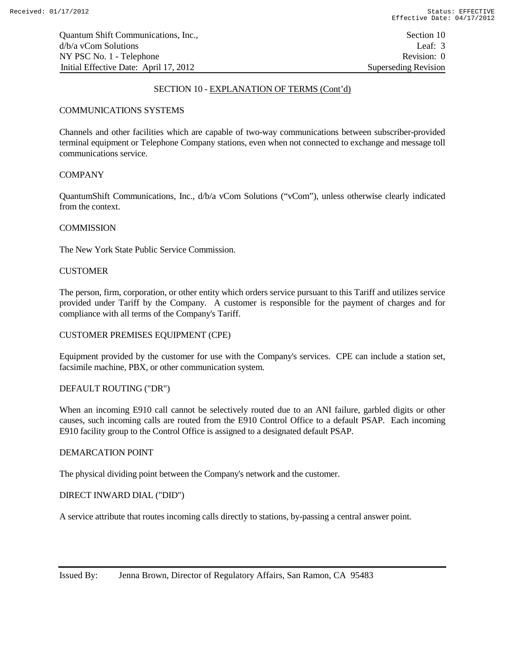Quantum Shift Communications, Inc., Section 10 d/b/a vCom Solutions Leaf: 3 NY PSC No. 1 - Telephone Revision: 0 Initial Effective Date: April 17, 2012 Superseding Revision

## SECTION 10 - EXPLANATION OF TERMS (Cont'd)

## COMMUNICATIONS SYSTEMS

Channels and other facilities which are capable of two-way communications between subscriber-provided terminal equipment or Telephone Company stations, even when not connected to exchange and message toll communications service.

# **COMPANY**

QuantumShift Communications, Inc., d/b/a vCom Solutions ("vCom"), unless otherwise clearly indicated from the context.

#### **COMMISSION**

The New York State Public Service Commission.

#### **CUSTOMER**

The person, firm, corporation, or other entity which orders service pursuant to this Tariff and utilizes service provided under Tariff by the Company. A customer is responsible for the payment of charges and for compliance with all terms of the Company's Tariff.

#### CUSTOMER PREMISES EQUIPMENT (CPE)

Equipment provided by the customer for use with the Company's services. CPE can include a station set, facsimile machine, PBX, or other communication system.

#### DEFAULT ROUTING ("DR")

When an incoming E910 call cannot be selectively routed due to an ANI failure, garbled digits or other causes, such incoming calls are routed from the E910 Control Office to a default PSAP. Each incoming E910 facility group to the Control Office is assigned to a designated default PSAP.

#### DEMARCATION POINT

The physical dividing point between the Company's network and the customer.

#### DIRECT INWARD DIAL ("DID")

A service attribute that routes incoming calls directly to stations, by-passing a central answer point.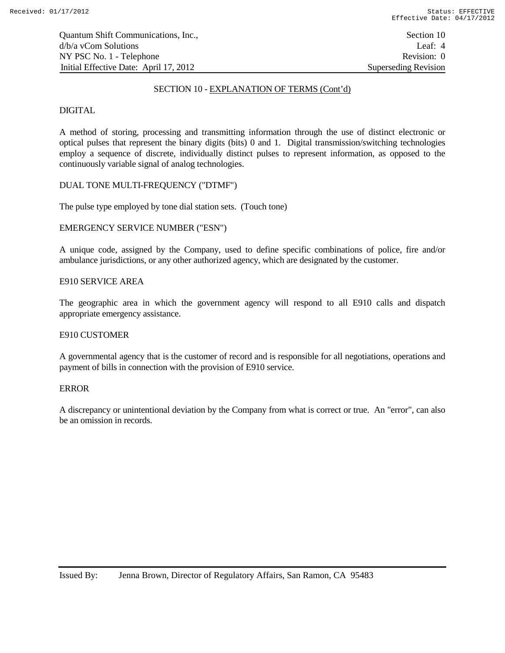Quantum Shift Communications, Inc., Section 10 d/b/a vCom Solutions Leaf: 4 NY PSC No. 1 - Telephone Revision: 0 Initial Effective Date: April 17, 2012 Superseding Revision

#### SECTION 10 - EXPLANATION OF TERMS (Cont'd)

# DIGITAL

A method of storing, processing and transmitting information through the use of distinct electronic or optical pulses that represent the binary digits (bits) 0 and 1. Digital transmission/switching technologies employ a sequence of discrete, individually distinct pulses to represent information, as opposed to the continuously variable signal of analog technologies.

# DUAL TONE MULTI-FREQUENCY ("DTMF")

The pulse type employed by tone dial station sets. (Touch tone)

# EMERGENCY SERVICE NUMBER ("ESN")

A unique code, assigned by the Company, used to define specific combinations of police, fire and/or ambulance jurisdictions, or any other authorized agency, which are designated by the customer.

## E910 SERVICE AREA

The geographic area in which the government agency will respond to all E910 calls and dispatch appropriate emergency assistance.

#### E910 CUSTOMER

A governmental agency that is the customer of record and is responsible for all negotiations, operations and payment of bills in connection with the provision of E910 service.

#### ERROR

A discrepancy or unintentional deviation by the Company from what is correct or true. An "error", can also be an omission in records.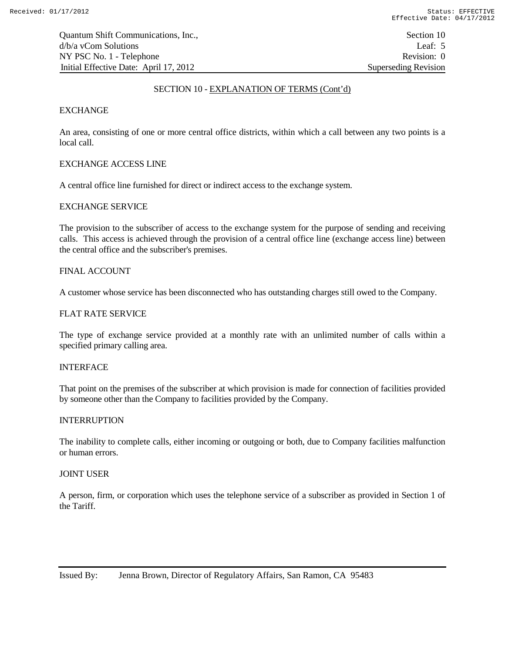## SECTION 10 - EXPLANATION OF TERMS (Cont'd)

## EXCHANGE

An area, consisting of one or more central office districts, within which a call between any two points is a local call.

## EXCHANGE ACCESS LINE

A central office line furnished for direct or indirect access to the exchange system.

## EXCHANGE SERVICE

The provision to the subscriber of access to the exchange system for the purpose of sending and receiving calls. This access is achieved through the provision of a central office line (exchange access line) between the central office and the subscriber's premises.

#### FINAL ACCOUNT

A customer whose service has been disconnected who has outstanding charges still owed to the Company.

#### FLAT RATE SERVICE

The type of exchange service provided at a monthly rate with an unlimited number of calls within a specified primary calling area.

### INTERFACE

That point on the premises of the subscriber at which provision is made for connection of facilities provided by someone other than the Company to facilities provided by the Company.

#### INTERRUPTION

The inability to complete calls, either incoming or outgoing or both, due to Company facilities malfunction or human errors.

## JOINT USER

A person, firm, or corporation which uses the telephone service of a subscriber as provided in Section 1 of the Tariff.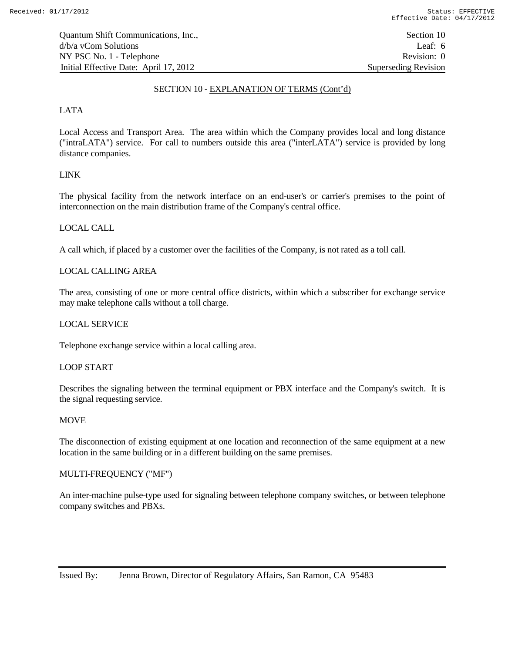Quantum Shift Communications, Inc., Section 10 d/b/a vCom Solutions Leaf: 6 NY PSC No. 1 - Telephone Revision: 0 Initial Effective Date: April 17, 2012 Superseding Revision

### SECTION 10 - EXPLANATION OF TERMS (Cont'd)

# LATA

Local Access and Transport Area. The area within which the Company provides local and long distance ("intraLATA") service. For call to numbers outside this area ("interLATA") service is provided by long distance companies.

# LINK

The physical facility from the network interface on an end-user's or carrier's premises to the point of interconnection on the main distribution frame of the Company's central office.

# LOCAL CALL

A call which, if placed by a customer over the facilities of the Company, is not rated as a toll call.

# LOCAL CALLING AREA

The area, consisting of one or more central office districts, within which a subscriber for exchange service may make telephone calls without a toll charge.

### LOCAL SERVICE

Telephone exchange service within a local calling area.

### LOOP START

Describes the signaling between the terminal equipment or PBX interface and the Company's switch. It is the signal requesting service.

#### **MOVE**

The disconnection of existing equipment at one location and reconnection of the same equipment at a new location in the same building or in a different building on the same premises.

## MULTI-FREQUENCY ("MF")

An inter-machine pulse-type used for signaling between telephone company switches, or between telephone company switches and PBXs.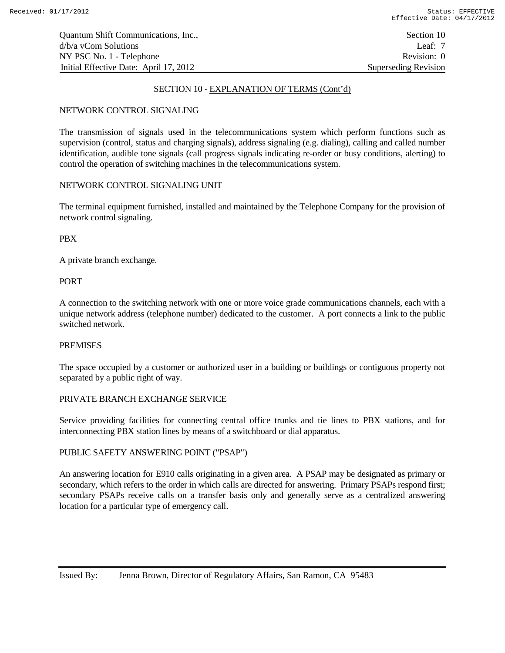Quantum Shift Communications, Inc., Section 10 d/b/a vCom Solutions Leaf: 7 NY PSC No. 1 - Telephone Revision: 0 Initial Effective Date: April 17, 2012 Superseding Revision

## SECTION 10 - EXPLANATION OF TERMS (Cont'd)

## NETWORK CONTROL SIGNALING

The transmission of signals used in the telecommunications system which perform functions such as supervision (control, status and charging signals), address signaling (e.g. dialing), calling and called number identification, audible tone signals (call progress signals indicating re-order or busy conditions, alerting) to control the operation of switching machines in the telecommunications system.

# NETWORK CONTROL SIGNALING UNIT

The terminal equipment furnished, installed and maintained by the Telephone Company for the provision of network control signaling.

PBX

A private branch exchange.

## PORT

A connection to the switching network with one or more voice grade communications channels, each with a unique network address (telephone number) dedicated to the customer. A port connects a link to the public switched network.

## **PREMISES**

The space occupied by a customer or authorized user in a building or buildings or contiguous property not separated by a public right of way.

# PRIVATE BRANCH EXCHANGE SERVICE

Service providing facilities for connecting central office trunks and tie lines to PBX stations, and for interconnecting PBX station lines by means of a switchboard or dial apparatus.

#### PUBLIC SAFETY ANSWERING POINT ("PSAP")

An answering location for E910 calls originating in a given area. A PSAP may be designated as primary or secondary, which refers to the order in which calls are directed for answering. Primary PSAPs respond first; secondary PSAPs receive calls on a transfer basis only and generally serve as a centralized answering location for a particular type of emergency call.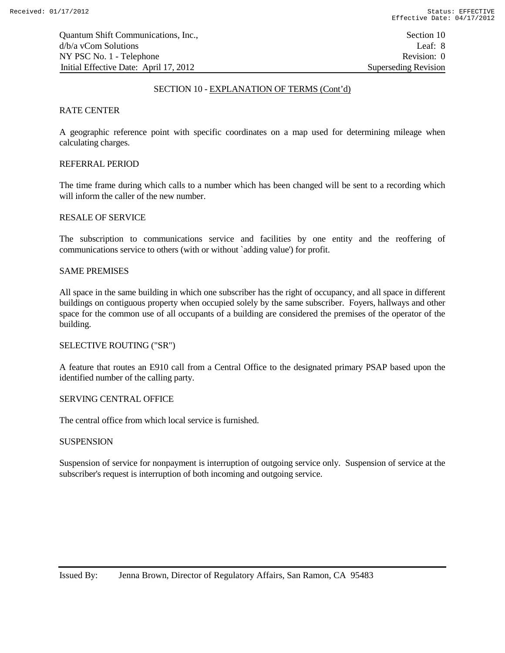Quantum Shift Communications, Inc., Section 10 d/b/a vCom Solutions Leaf: 8 NY PSC No. 1 - Telephone Revision: 0 Initial Effective Date: April 17, 2012 Superseding Revision

### SECTION 10 - EXPLANATION OF TERMS (Cont'd)

## RATE CENTER

A geographic reference point with specific coordinates on a map used for determining mileage when calculating charges.

## REFERRAL PERIOD

The time frame during which calls to a number which has been changed will be sent to a recording which will inform the caller of the new number.

# RESALE OF SERVICE

The subscription to communications service and facilities by one entity and the reoffering of communications service to others (with or without `adding value') for profit.

## SAME PREMISES

All space in the same building in which one subscriber has the right of occupancy, and all space in different buildings on contiguous property when occupied solely by the same subscriber. Foyers, hallways and other space for the common use of all occupants of a building are considered the premises of the operator of the building.

### SELECTIVE ROUTING ("SR")

A feature that routes an E910 call from a Central Office to the designated primary PSAP based upon the identified number of the calling party.

### SERVING CENTRAL OFFICE

The central office from which local service is furnished.

#### **SUSPENSION**

Suspension of service for nonpayment is interruption of outgoing service only. Suspension of service at the subscriber's request is interruption of both incoming and outgoing service.